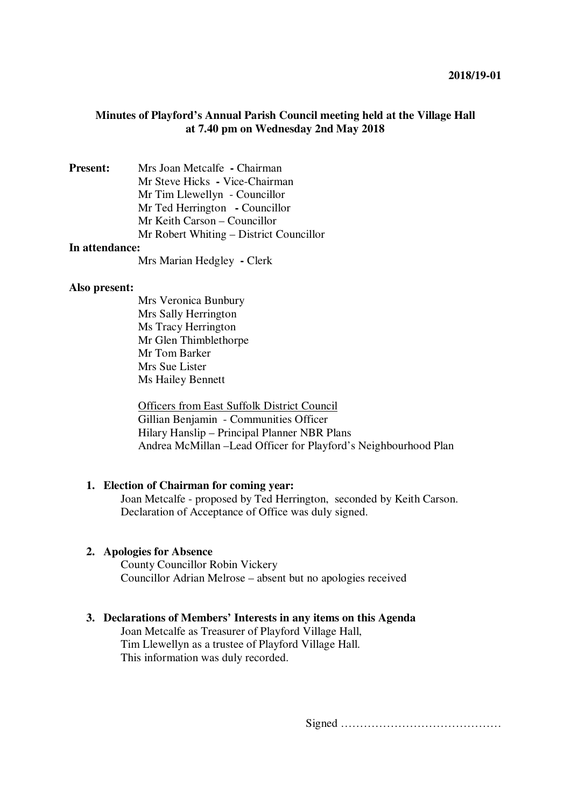## **Minutes of Playford's Annual Parish Council meeting held at the Village Hall at 7.40 pm on Wednesday 2nd May 2018**

| <b>Present:</b> | Mrs Joan Metcalfe - Chairman            |
|-----------------|-----------------------------------------|
|                 | Mr Steve Hicks - Vice-Chairman          |
|                 | Mr Tim Llewellyn - Councillor           |
|                 | Mr Ted Herrington - Councillor          |
|                 | Mr Keith Carson – Councillor            |
|                 | Mr Robert Whiting – District Councillor |
|                 |                                         |

#### **In attendance:**

Mrs Marian Hedgley **-** Clerk

### **Also present:**

 Mrs Veronica Bunbury Mrs Sally Herrington Ms Tracy Herrington Mr Glen Thimblethorpe Mr Tom Barker Mrs Sue Lister Ms Hailey Bennett

Officers from East Suffolk District Council Gillian Benjamin - Communities Officer Hilary Hanslip – Principal Planner NBR Plans Andrea McMillan –Lead Officer for Playford's Neighbourhood Plan

### **1. Election of Chairman for coming year:**

Joan Metcalfe - proposed by Ted Herrington, seconded by Keith Carson. Declaration of Acceptance of Office was duly signed.

## **2. Apologies for Absence**

County Councillor Robin Vickery Councillor Adrian Melrose – absent but no apologies received

# **3. Declarations of Members' Interests in any items on this Agenda**  Joan Metcalfe as Treasurer of Playford Village Hall, Tim Llewellyn as a trustee of Playford Village Hall. This information was duly recorded.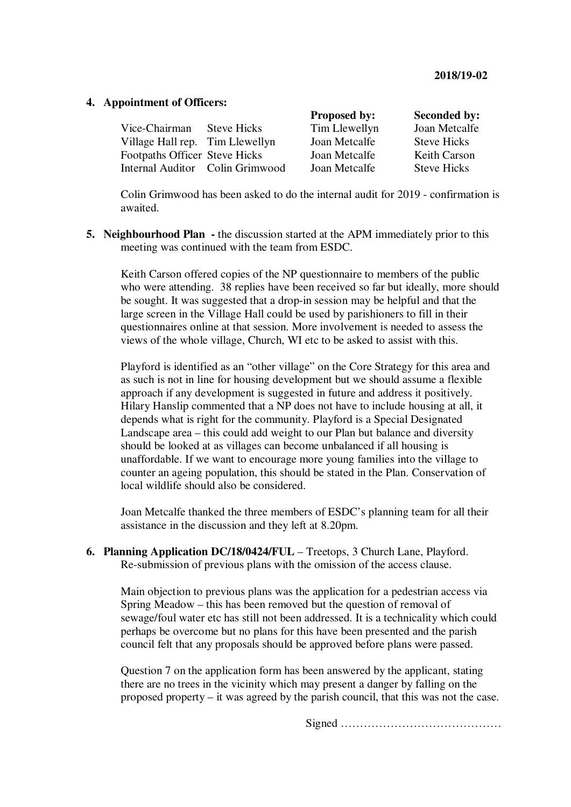## **4. Appointment of Officers:**

|                                      |                    | <b>Proposed by:</b> | <b>Seconded by:</b> |
|--------------------------------------|--------------------|---------------------|---------------------|
| Vice-Chairman                        | <b>Steve Hicks</b> | Tim Llewellyn       | Joan Metcalfe       |
| Village Hall rep. Tim Llewellyn      |                    | Joan Metcalfe       | <b>Steve Hicks</b>  |
| <b>Footpaths Officer Steve Hicks</b> |                    | Joan Metcalfe       | <b>Keith Carson</b> |
| Internal Auditor Colin Grimwood      |                    | Joan Metcalfe       | <b>Steve Hicks</b>  |

Colin Grimwood has been asked to do the internal audit for 2019 - confirmation is awaited.

**5. Neighbourhood Plan -** the discussion started at the APM immediately prior to this meeting was continued with the team from ESDC.

Keith Carson offered copies of the NP questionnaire to members of the public who were attending. 38 replies have been received so far but ideally, more should be sought. It was suggested that a drop-in session may be helpful and that the large screen in the Village Hall could be used by parishioners to fill in their questionnaires online at that session. More involvement is needed to assess the views of the whole village, Church, WI etc to be asked to assist with this.

Playford is identified as an "other village" on the Core Strategy for this area and as such is not in line for housing development but we should assume a flexible approach if any development is suggested in future and address it positively. Hilary Hanslip commented that a NP does not have to include housing at all, it depends what is right for the community. Playford is a Special Designated Landscape area – this could add weight to our Plan but balance and diversity should be looked at as villages can become unbalanced if all housing is unaffordable. If we want to encourage more young families into the village to counter an ageing population, this should be stated in the Plan. Conservation of local wildlife should also be considered.

Joan Metcalfe thanked the three members of ESDC's planning team for all their assistance in the discussion and they left at 8.20pm.

**6. Planning Application DC/18/0424/FUL** – Treetops, 3 Church Lane, Playford. Re-submission of previous plans with the omission of the access clause.

Main objection to previous plans was the application for a pedestrian access via Spring Meadow – this has been removed but the question of removal of sewage/foul water etc has still not been addressed. It is a technicality which could perhaps be overcome but no plans for this have been presented and the parish council felt that any proposals should be approved before plans were passed.

Question 7 on the application form has been answered by the applicant, stating there are no trees in the vicinity which may present a danger by falling on the proposed property – it was agreed by the parish council, that this was not the case.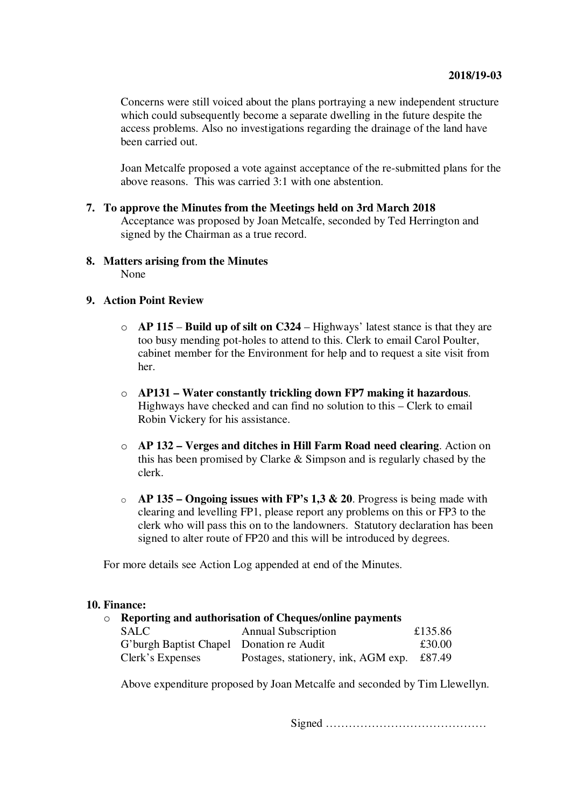Concerns were still voiced about the plans portraying a new independent structure which could subsequently become a separate dwelling in the future despite the access problems. Also no investigations regarding the drainage of the land have been carried out.

Joan Metcalfe proposed a vote against acceptance of the re-submitted plans for the above reasons. This was carried 3:1 with one abstention.

**7. To approve the Minutes from the Meetings held on 3rd March 2018** Acceptance was proposed by Joan Metcalfe, seconded by Ted Herrington and signed by the Chairman as a true record.

#### **8. Matters arising from the Minutes** None

## **9. Action Point Review**

- o **AP 115 Build up of silt on C324** Highways' latest stance is that they are too busy mending pot-holes to attend to this. Clerk to email Carol Poulter, cabinet member for the Environment for help and to request a site visit from her.
- o **AP131 – Water constantly trickling down FP7 making it hazardous**. Highways have checked and can find no solution to this – Clerk to email Robin Vickery for his assistance.
- o **AP 132 Verges and ditches in Hill Farm Road need clearing**. Action on this has been promised by Clarke & Simpson and is regularly chased by the clerk.
- o **AP 135 Ongoing issues with FP's 1,3 & 20**. Progress is being made with clearing and levelling FP1, please report any problems on this or FP3 to the clerk who will pass this on to the landowners. Statutory declaration has been signed to alter route of FP20 and this will be introduced by degrees.

For more details see Action Log appended at end of the Minutes.

### **10. Finance:**

#### o **Reporting and authorisation of Cheques/online payments**

| SALC                                     | <b>Annual Subscription</b>                 | £135.86 |  |  |  |
|------------------------------------------|--------------------------------------------|---------|--|--|--|
| G'burgh Baptist Chapel Donation re Audit |                                            | £30.00  |  |  |  |
| Clerk's Expenses                         | Postages, stationery, ink, AGM exp. £87.49 |         |  |  |  |

Above expenditure proposed by Joan Metcalfe and seconded by Tim Llewellyn.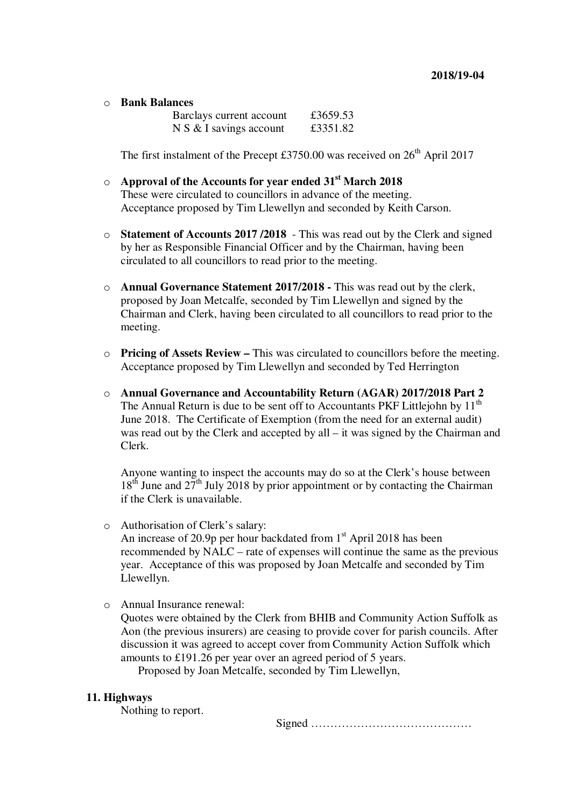o **Bank Balances** 

| Barclays current account  | £3659.53 |
|---------------------------|----------|
| $N S & I$ savings account | £3351.82 |

The first instalment of the Precept £3750.00 was received on  $26<sup>th</sup>$  April 2017

- o **Approval of the Accounts for year ended 31st March 2018** These were circulated to councillors in advance of the meeting. Acceptance proposed by Tim Llewellyn and seconded by Keith Carson.
- o **Statement of Accounts 2017 /2018** This was read out by the Clerk and signed by her as Responsible Financial Officer and by the Chairman, having been circulated to all councillors to read prior to the meeting.
- o **Annual Governance Statement 2017/2018** This was read out by the clerk, proposed by Joan Metcalfe, seconded by Tim Llewellyn and signed by the Chairman and Clerk, having been circulated to all councillors to read prior to the meeting.
- o **Pricing of Assets Review** This was circulated to councillors before the meeting. Acceptance proposed by Tim Llewellyn and seconded by Ted Herrington
- o **Annual Governance and Accountability Return (AGAR) 2017/2018 Part 2**  The Annual Return is due to be sent off to Accountants PKF Littleiohn by  $11<sup>th</sup>$ June 2018. The Certificate of Exemption (from the need for an external audit) was read out by the Clerk and accepted by all – it was signed by the Chairman and Clerk.

Anyone wanting to inspect the accounts may do so at the Clerk's house between  $18<sup>th</sup>$  June and  $27<sup>th</sup>$  July 2018 by prior appointment or by contacting the Chairman if the Clerk is unavailable.

- o Authorisation of Clerk's salary: An increase of 20.9p per hour backdated from  $1<sup>st</sup>$  April 2018 has been recommended by NALC – rate of expenses will continue the same as the previous year. Acceptance of this was proposed by Joan Metcalfe and seconded by Tim Llewellyn.
- o Annual Insurance renewal:

Quotes were obtained by the Clerk from BHIB and Community Action Suffolk as Aon (the previous insurers) are ceasing to provide cover for parish councils. After discussion it was agreed to accept cover from Community Action Suffolk which amounts to £191.26 per year over an agreed period of 5 years.

Proposed by Joan Metcalfe, seconded by Tim Llewellyn,

#### **11. Highways**

Nothing to report.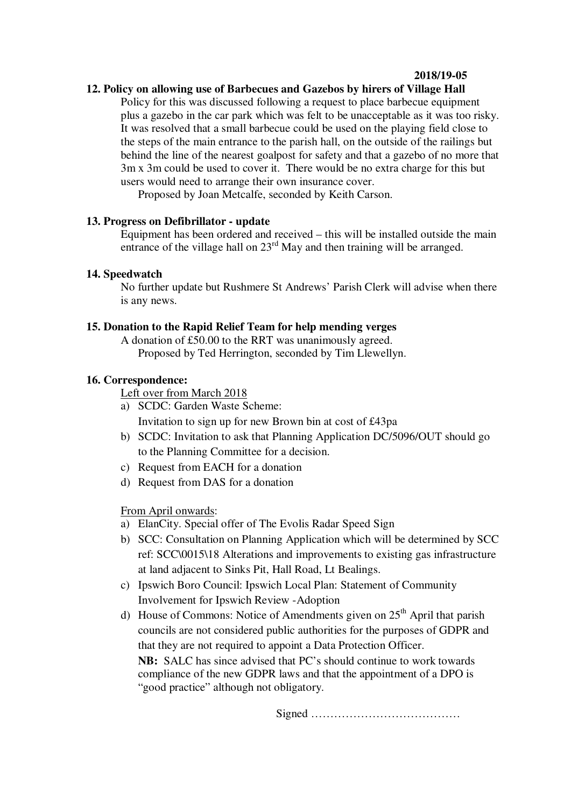## **2018/19-05**

## **12. Policy on allowing use of Barbecues and Gazebos by hirers of Village Hall**

Policy for this was discussed following a request to place barbecue equipment plus a gazebo in the car park which was felt to be unacceptable as it was too risky. It was resolved that a small barbecue could be used on the playing field close to the steps of the main entrance to the parish hall, on the outside of the railings but behind the line of the nearest goalpost for safety and that a gazebo of no more that 3m x 3m could be used to cover it. There would be no extra charge for this but users would need to arrange their own insurance cover.

Proposed by Joan Metcalfe, seconded by Keith Carson.

## **13. Progress on Defibrillator - update**

Equipment has been ordered and received – this will be installed outside the main entrance of the village hall on  $23<sup>rd</sup>$  May and then training will be arranged.

## **14. Speedwatch**

No further update but Rushmere St Andrews' Parish Clerk will advise when there is any news.

## **15. Donation to the Rapid Relief Team for help mending verges**

A donation of £50.00 to the RRT was unanimously agreed. Proposed by Ted Herrington, seconded by Tim Llewellyn.

## **16. Correspondence:**

Left over from March 2018

a) SCDC: Garden Waste Scheme:

Invitation to sign up for new Brown bin at cost of £43pa

- b) SCDC: Invitation to ask that Planning Application DC/5096/OUT should go to the Planning Committee for a decision.
- c) Request from EACH for a donation
- d) Request from DAS for a donation

From April onwards:

- a) ElanCity. Special offer of The Evolis Radar Speed Sign
- b) SCC: Consultation on Planning Application which will be determined by SCC ref: SCC\0015\18 Alterations and improvements to existing gas infrastructure at land adjacent to Sinks Pit, Hall Road, Lt Bealings.
- c) Ipswich Boro Council: Ipswich Local Plan: Statement of Community Involvement for Ipswich Review -Adoption
- d) House of Commons: Notice of Amendments given on  $25<sup>th</sup>$  April that parish councils are not considered public authorities for the purposes of GDPR and that they are not required to appoint a Data Protection Officer. **NB:** SALC has since advised that PC's should continue to work towards compliance of the new GDPR laws and that the appointment of a DPO is

"good practice" although not obligatory.